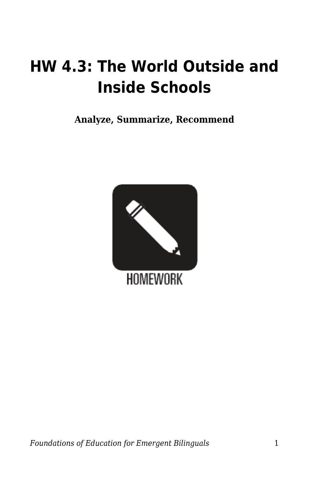## **HW 4.3: The World Outside and Inside Schools**

**Analyze, Summarize, Recommend**

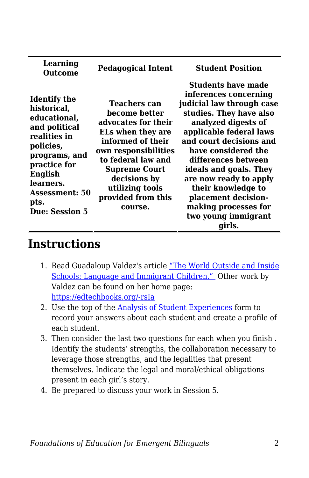| Learning<br>Outcome                                                                                                                                                                                          | <b>Pedagogical Intent</b>                                                                                                                                                                                                                | <b>Student Position</b>                                                                                                                                                                                                                                                                                                                                                        |
|--------------------------------------------------------------------------------------------------------------------------------------------------------------------------------------------------------------|------------------------------------------------------------------------------------------------------------------------------------------------------------------------------------------------------------------------------------------|--------------------------------------------------------------------------------------------------------------------------------------------------------------------------------------------------------------------------------------------------------------------------------------------------------------------------------------------------------------------------------|
| <b>Identify the</b><br>historical,<br>educational,<br>and political<br>realities in<br>policies,<br>programs, and<br>practice for<br>English<br>learners.<br><b>Assessment: 50</b><br>pts.<br>Due: Session 5 | Teachers can<br>become better<br>advocates for their<br>ELs when they are<br>informed of their<br>own responsibilities<br>to federal law and<br><b>Supreme Court</b><br>decisions by<br>utilizing tools<br>provided from this<br>course. | Students have made<br>inferences concerning<br>judicial law through case<br>studies. They have also<br>analyzed digests of<br>applicable federal laws<br>and court decisions and<br>have considered the<br>differences between<br>ideals and goals. They<br>are now ready to apply<br>their knowledge to<br>placement decision-<br>making processes for<br>two young immigrant |
|                                                                                                                                                                                                              |                                                                                                                                                                                                                                          | girls.                                                                                                                                                                                                                                                                                                                                                                         |

## **Instructions**

- 1. Read Guadaloup Valdez's article ["The World Outside and Inside](https://byu.box.com/s/07g6yarlnjkujtkw7h82dahmefew207t) [Schools: Language and Immigrant Children."](https://byu.box.com/s/07g6yarlnjkujtkw7h82dahmefew207t) Other work by Valdez can be found on her home page: [https://edtechbooks.org/-rsIa](https://ed.stanford.edu/faculty/gvaldes)
- 2. Use the top of the [Analysis of Student Experiences f](https://byu.box.com/s/rvrcq7bzbg8hk9ks1em0wf8ysbr292me)orm to record your answers about each student and create a profile of each student.
- 3. Then consider the last two questions for each when you finish . Identify the students' strengths, the collaboration necessary to leverage those strengths, and the legalities that present themselves. Indicate the legal and moral/ethical obligations present in each girl's story.
- 4. Be prepared to discuss your work in Session 5.